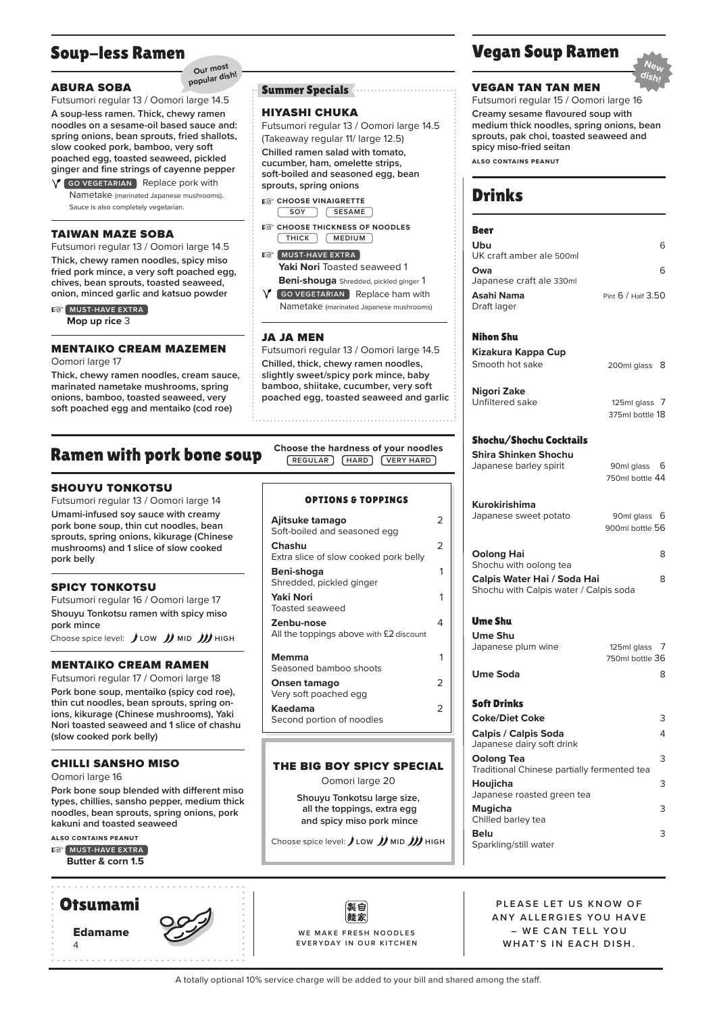# Soup-less Ramen

### ABURA SOBA

Futsumori regular 13 / Oomori large 14.5 **A soup-less ramen. Thick, chewy ramen noodles on a sesame-oil based sauce and: spring onions, bean sprouts, fried shallots, slow cooked pork, bamboo, very soft poached egg, toasted seaweed, pickled ginger and fine strings of cayenne pepper**

**Our most popular dish!**

 $\sqrt{\ }$  (GO VEGETARIAN) Replace pork with Nametake (marinated Japanese mushrooms). Sauce is also completely vegetarian.

#### TAIWAN MAZE SOBA

Futsumori regular 13 / Oomori large 14.5 **Thick, chewy ramen noodles, spicy miso fried pork mince, a very soft poached egg, chives, bean sprouts, toasted seaweed, onion, minced garlic and katsuo powder**

**AS MUST-HAVE EXTRA** 

**Mop up rice** 3

### MENTAIKO CREAM MAZEMEN

Oomori large 17

**Thick, chewy ramen noodles, cream sauce, marinated nametake mushrooms, spring onions, bamboo, toasted seaweed, very soft poached egg and mentaiko (cod roe)**

# Ramen with pork bone soup

### SHOUYU TONKOTSU

Futsumori regular 13 / Oomori large 14 **Umami-infused soy sauce with creamy pork bone soup, thin cut noodles, bean sprouts, spring onions, kikurage (Chinese mushrooms) and 1 slice of slow cooked pork belly**

### SPICY TONKOTSU

Futsumori regular 16 / Oomori large 17 **Shouyu Tonkotsu ramen with spicy miso pork mince**

Choose spice level: JLOW JJMID JJJHIGH

### MENTAIKO CREAM RAMEN

Futsumori regular 17 / Oomori large 18 **Pork bone soup, mentaiko (spicy cod roe), thin cut noodles, bean sprouts, spring onions, kikurage (Chinese mushrooms), Yaki Nori toasted seaweed and 1 slice of chashu (slow cooked pork belly)**

#### CHILLI SANSHO MISO

Oomori large 16

**Pork bone soup blended with different miso types, chillies, sansho pepper, medium thick noodles, bean sprouts, spring onions, pork kakuni and toasted seaweed**

**also contains peanut**

**AS MUST-HAVE EXTRA Butter & corn 1.5**

. . . . . . . . . . . . . . .



### Summer Specials

#### HIYASHI CHUKA

Futsumori regular 13 / Oomori large 14.5 (Takeaway regular 11/ large 12.5) **Chilled ramen salad with tomato, cucumber, ham, omelette strips, soft-boiled and seasoned egg, bean** 

**EXP** CHOOSE VINAIGRETTE **SESAME SOY**

**sprouts, spring onions**

- $\mathbb{R}^2$ **CHOOSE THICKNESS OF NOODLES MEDIUM THICK**
- **B** MUST-HAVE EXTRA Yaki Nori Toasted seaweed 1 **Beni-shouga** Shredded, pickled ginger 1

*C* (GO VEGETARIAN) Replace ham with

Nametake (marinated Japanese mushrooms)

### JA JA MEN

Futsumori regular 13 / Oomori large 14.5 **Chilled, thick, chewy ramen noodles, slightly sweet/spicy pork mince, baby bamboo, shiitake, cucumber, very soft poached egg, toasted seaweed and garlic**

**Choose the hardness of your noodles REGULAR HARD VERY HARD**

#### OPTIONS & TOPPINGS

| Ajitsuke tamago<br>Soft-boiled and seasoned egg       | 2 |
|-------------------------------------------------------|---|
| Chashu<br>Extra slice of slow cooked pork belly       | 2 |
| Beni-shoqa<br>Shredded, pickled ginger                | 1 |
| Yaki Nori<br><b>Toasted seaweed</b>                   | 1 |
| Zenbu-nose<br>All the toppings above with £2 discount | 4 |
| Memma<br>Seasoned bamboo shoots                       | 1 |
| Onsen tamago<br>Very soft poached egg                 | 2 |
| Kaedama<br>Second portion of noodles                  | フ |
|                                                       |   |

#### THE BIG BOY SPICY SPECIAL

Oomori large 20

**Shouyu Tonkotsu large size, all the toppings, extra egg and spicy miso pork mince**

Choose spice level: **LOW MID HIGH**

製白 麺家 WE MAKE FRESH NOODLES **EVERYDAY IN OUR KITCHEN**

# Vegan Soup Ramen



#### VEGAN TAN TAN MEN

Futsumori regular 15 / Oomori large 16 **Creamy sesame flavoured soup with medium thick noodles, spring onions, bean sprouts, pak choi, toasted seaweed and spicy miso-fried seitan**

**also contains peanut**

# Drinks

| Beer                                        |                                 |
|---------------------------------------------|---------------------------------|
| Ubu                                         | 6                               |
| UK craft amber ale 500ml                    |                                 |
| Owa<br>Japanese craft ale 330ml             | 6                               |
| Asahi Nama                                  | Pint 6 / Half 3.50              |
| Draft lager                                 |                                 |
|                                             |                                 |
| Nihon Shu                                   |                                 |
| Kizakura Kappa Cup                          |                                 |
| Smooth hot sake                             | 200ml glass<br>8                |
|                                             |                                 |
| Nigori Zake<br>Unfiltered sake              | 125ml glass 7                   |
|                                             | 375ml bottle 18                 |
|                                             |                                 |
| Shochu/Shochu Cocktails                     |                                 |
| Shira Shinken Shochu                        |                                 |
| Japanese barley spirit                      | 90ml glass 6<br>750ml bottle 44 |
|                                             |                                 |
| Kurokirishima                               |                                 |
| Japanese sweet potato                       | 90ml glass 6                    |
|                                             | 900ml bottle 56                 |
| <b>Oolong Hai</b>                           | 8                               |
| Shochu with oolong tea                      |                                 |
| Calpis Water Hai / Soda Hai                 | 8                               |
| Shochu with Calpis water / Calpis soda      |                                 |
|                                             |                                 |
| <b>Ume Shu</b>                              |                                 |
| <b>Ume Shu</b>                              | 7                               |
| Japanese plum wine                          | 125ml glass<br>750ml bottle 36  |
| <b>Ume Soda</b>                             | 8                               |
|                                             |                                 |
| <b>Soft Drinks</b>                          |                                 |
| <b>Coke/Diet Coke</b>                       | 3                               |
| <b>Calpis / Calpis Soda</b>                 |                                 |
| Japanese dairy soft drink                   | 4                               |
|                                             |                                 |
| <b>Oolong Tea</b>                           | 3                               |
| Traditional Chinese partially fermented tea |                                 |
| Houiicha<br>Japanese roasted green tea      | 3                               |
| <b>Mugicha</b>                              | 3                               |
| Chilled barley tea                          |                                 |
| Belu<br>Sparkling/still water               | 3                               |

**PLEASE LET US KNOW OF ANY ALLERGIES YOU HAVE** *– WE CAN TELL YOU* **WHAT'S IN EACH DISH.**